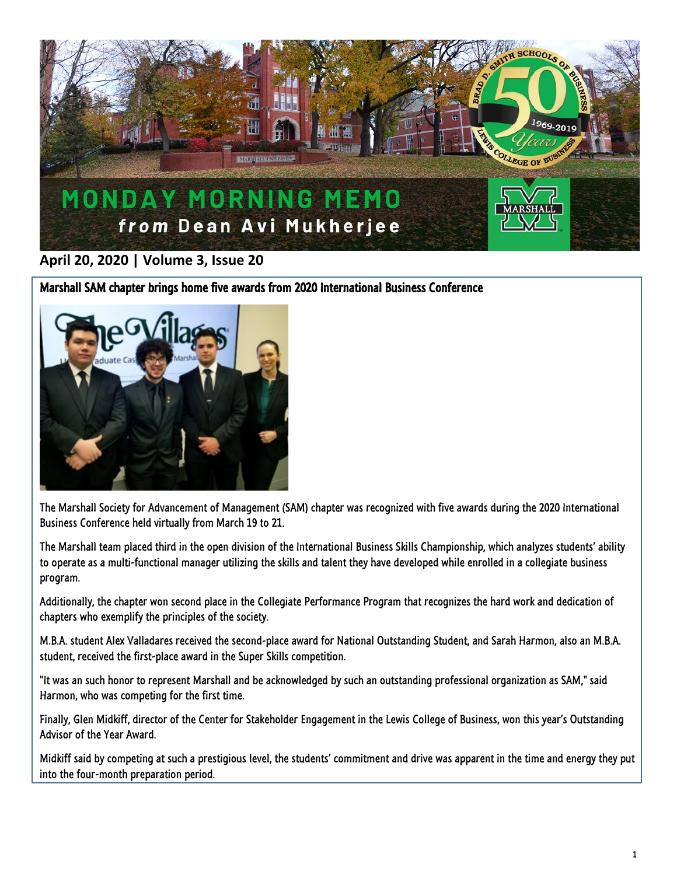

## **April 20, 2020 | Volume 3, Issue 20**

Marshall SAM chapter brings home five awards from 2020 International Business Conference



The Marshall Society for Advancement of Management (SAM) chapter was recognized with five awards during the 2020 International Business Conference held virtually from March 19 to 21.

The Marshall team placed third in the open division of the International Business Skills Championship, which analyzes students' ability to operate as a multi-functional manager utilizing the skills and talent they have developed while enrolled in a collegiate business program.

Additionally, the chapter won second place in the Collegiate Performance Program that recognizes the hard work and dedication of chapters who exemplify the principles of the society.

M.B.A. student Alex Valladares received the second-place award for National Outstanding Student, and Sarah Harmon, also an M.B.A. student, received the first-place award in the Super Skills competition.

"It was an such honor to represent Marshall and be acknowledged by such an outstanding professional organization as SAM," said Harmon, who was competing for the first time.

Finally, Glen Midkiff, director of the Center for Stakeholder Engagement in the Lewis College of Business, won this year's Outstanding Advisor of the Year Award.

Midkiff said by competing at such a prestigious level, the students' commitment and drive was apparent in the time and energy they put into the four-month preparation period.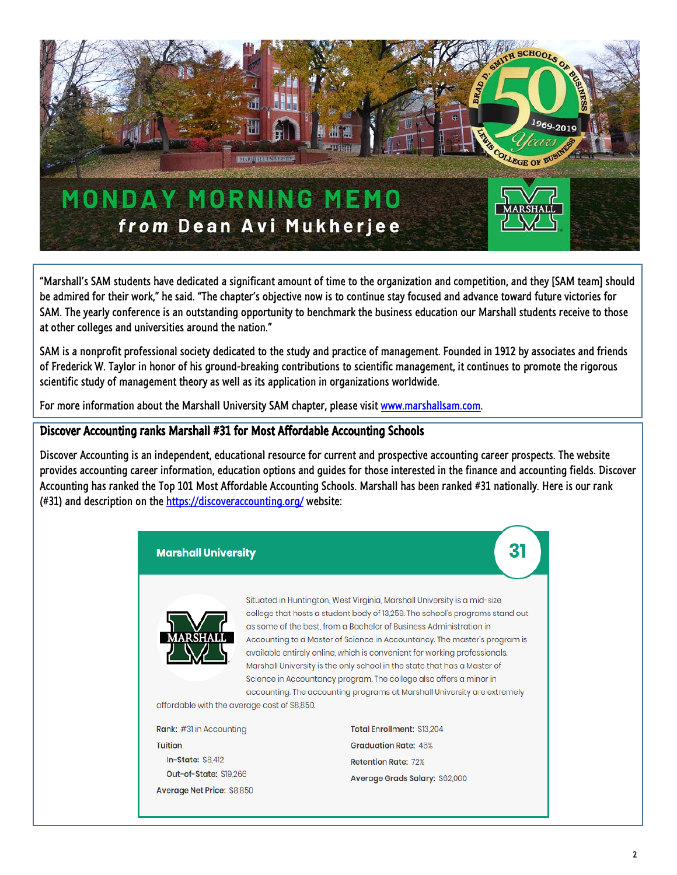

"Marshall's SAM students have dedicated a significant amount of time to the organization and competition, and they [SAM team] should be admired for their work," he said. "The chapter's objective now is to continue stay focused and advance toward future victories for SAM. The yearly conference is an outstanding opportunity to benchmark the business education our Marshall students receive to those at other colleges and universities around the nation."

SAM is a nonprofit professional society dedicated to the study and practice of management. Founded in 1912 by associates and friends of Frederick W. Taylor in honor of his ground-breaking contributions to scientific management, it continues to promote the rigorous scientific study of management theory as well as its application in organizations worldwide.

For more information about the Marshall University SAM chapter, please visit [www.marshallsam.com.](http://www.marshallsam.com/)

## Discover Accounting ranks Marshall #31 for Most Affordable Accounting Schools

Discover Accounting is an independent, educational resource for current and prospective accounting career prospects. The website provides accounting career information, education options and guides for those interested in the finance and accounting fields. Discover Accounting has ranked the Top 101 Most Affordable Accounting Schools. Marshall has been ranked #31 nationally. Here is our rank (#31) and description on the <https://discoveraccounting.org/> website:

## **Marshall University**



Situated in Huntington, West Virginia, Marshall University is a mid-size college that hosts a student body of 13,259. The school's programs stand out as some of the best, from a Bachelor of Business Administration in Accounting to a Master of Science in Accountancy. The master's program is available entirely online, which is convenient for working professionals. Marshall University is the only school in the state that has a Master of Science in Accountancy program. The college also offers a minor in accounting. The accounting programs at Marshall University are extremely

31

affordable with the average cost of \$8,850.

| Rank: #31 in Accounting    |
|----------------------------|
| <b>Tuition</b>             |
| <b>In-State: \$8,412</b>   |
| Out-of-State: \$19,266     |
| Average Net Price: \$8,850 |

Total Enrollment: \$13 204 **Graduation Rate: 46% Retention Rate: 72%** Average Grads Salary: \$62,000